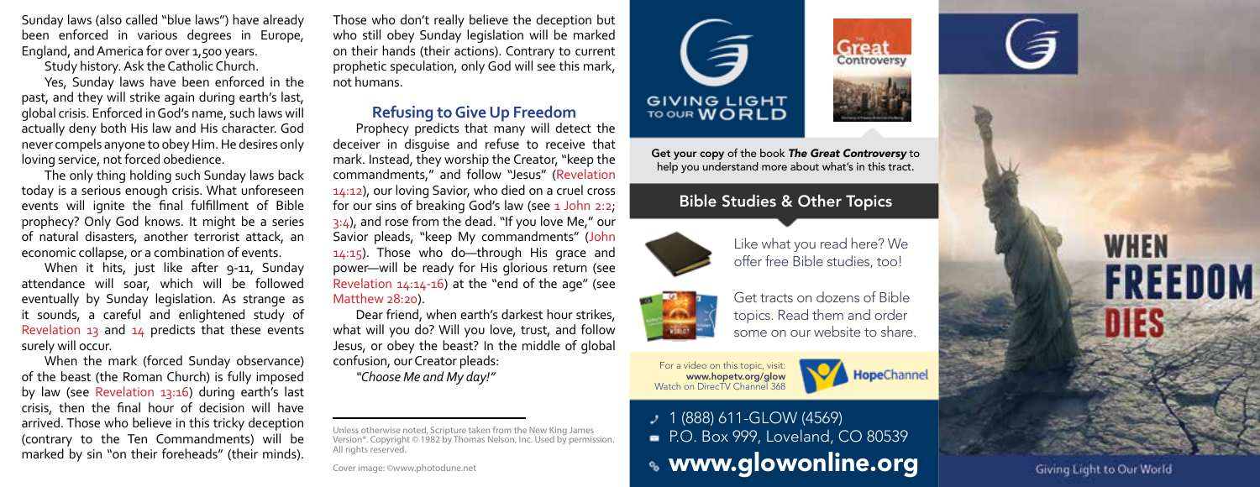Sunday laws (also called "blue laws") have already been enforced in various degrees in Europe, England, and America for over 1,500 years.

Study history. Ask the Catholic Church.

Yes, Sunday laws have been enforced in the past, and they will strike again during earth's last, global crisis. Enforced in God's name, such laws will actually deny both His law and His character. God never compels anyone to obey Him. He desires only loving service, not forced obedience.

The only thing holding such Sunday laws back today is a serious enough crisis. What unforeseen events will ignite the final fulfillment of Bible prophecy? Only God knows. It might be a series of natural disasters, another terrorist attack, an economic collapse, or a combination of events.

When it hits, just like after 9-11, Sunday attendance will soar, which will be followed eventually by Sunday legislation. As strange as it sounds, a careful and enlightened study of Revelation 13 and  $14$  predicts that these events surely will occur.

When the mark (forced Sunday observance) of the beast (the Roman Church) is fully imposed by law (see Revelation 13:16) during earth's last crisis, then the final hour of decision will have arrived. Those who believe in this tricky deception (contrary to the Ten Commandments) will be marked by sin "on their foreheads" (their minds).

Those who don't really believe the deception but who still obey Sunday legislation will be marked on their hands (their actions). Contrary to current prophetic speculation, only God will see this mark, not humans.

#### **Refusing to Give Up Freedom**

Prophecy predicts that many will detect the deceiver in disguise and refuse to receive that mark. Instead, they worship the Creator, "keep the commandments," and follow "Jesus" (Revelation 14:12), our loving Savior, who died on a cruel cross for our sins of breaking God's law (see  $1$  John 2:2;  $3:4$ ), and rose from the dead. "If you love Me," our Savior pleads, "keep My commandments" (John 14:15). Those who do—through His grace and power—will be ready for His glorious return (see Revelation 14:14-16) at the "end of the age" (see Matthew 28:20).

Dear friend, when earth's darkest hour strikes, what will you do? Will you love, trust, and follow Jesus, or obey the beast? In the middle of global confusion, our Creator pleads:

*"Choose Me and My day!"*

Unless otherwise noted, Scripture taken from the New King James Version®. Copyright © 1982 by Thomas Nelson, Inc. Used by permission. All rights reserved.

Cover image: ©www.photodune.net

**GIVING LIGHT** TO OUR **WORLD** 

Get your copy of the book *The Great Controversy* to help you understand more about what's in this tract.

## Bible Studies & Other Topics



Like what you read here? We offer free Bible studies, too!



Get tracts on dozens of Bible topics. Read them and order some on our website to share.





**Great** Controversy

 $1$  (888) 611-GLOW (4569) P.O. Box 999, Loveland, CO 80539 www.glowonline.org



**WHEN FREEDOM** 

Giving Light to Our World